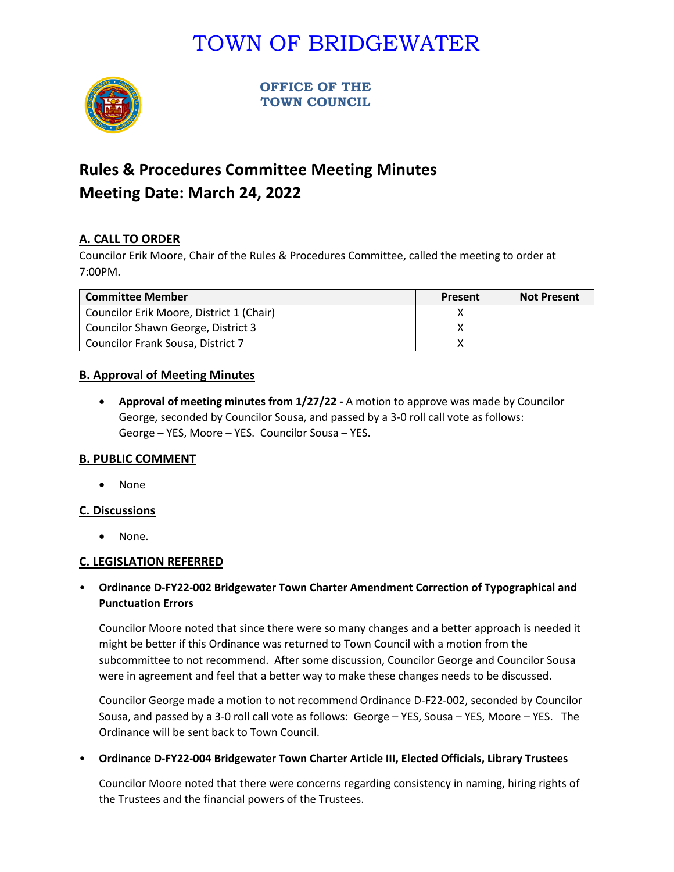# TOWN OF BRIDGEWATER



**OFFICE OF THE TOWN COUNCIL**

## **Rules & Procedures Committee Meeting Minutes Meeting Date: March 24, 2022**

### **A. CALL TO ORDER**

Councilor Erik Moore, Chair of the Rules & Procedures Committee, called the meeting to order at 7:00PM.

| <b>Committee Member</b>                  | Present | <b>Not Present</b> |
|------------------------------------------|---------|--------------------|
| Councilor Erik Moore, District 1 (Chair) |         |                    |
| Councilor Shawn George, District 3       |         |                    |
| Councilor Frank Sousa, District 7        |         |                    |

#### **B. Approval of Meeting Minutes**

• **Approval of meeting minutes from 1/27/22 -** A motion to approve was made by Councilor George, seconded by Councilor Sousa, and passed by a 3-0 roll call vote as follows: George – YES, Moore – YES. Councilor Sousa – YES.

#### **B. PUBLIC COMMENT**

• None

#### **C. Discussions**

• None.

#### **C. LEGISLATION REFERRED**

### • **Ordinance D-FY22-002 Bridgewater Town Charter Amendment Correction of Typographical and Punctuation Errors**

Councilor Moore noted that since there were so many changes and a better approach is needed it might be better if this Ordinance was returned to Town Council with a motion from the subcommittee to not recommend. After some discussion, Councilor George and Councilor Sousa were in agreement and feel that a better way to make these changes needs to be discussed.

Councilor George made a motion to not recommend Ordinance D-F22-002, seconded by Councilor Sousa, and passed by a 3-0 roll call vote as follows: George – YES, Sousa – YES, Moore – YES. The Ordinance will be sent back to Town Council.

• **Ordinance D-FY22-004 Bridgewater Town Charter Article III, Elected Officials, Library Trustees**

Councilor Moore noted that there were concerns regarding consistency in naming, hiring rights of the Trustees and the financial powers of the Trustees.